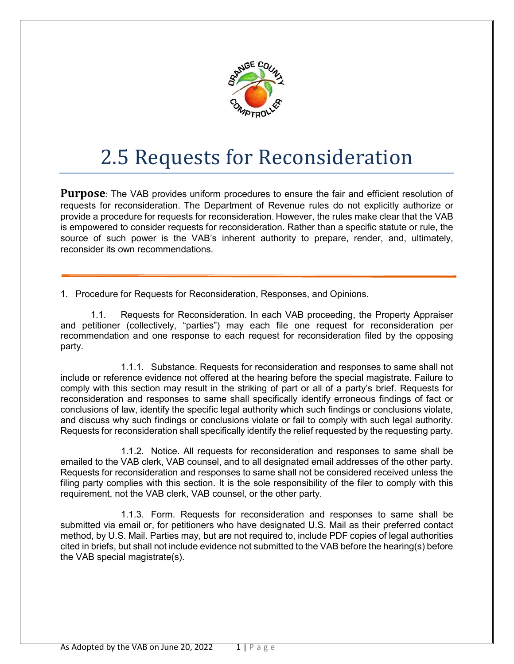

## 2.5 Requests for Reconsideration

**Purpose**: The VAB provides uniform procedures to ensure the fair and efficient resolution of requests for reconsideration. The Department of Revenue rules do not explicitly authorize or provide a procedure for requests for reconsideration. However, the rules make clear that the VAB is empowered to consider requests for reconsideration. Rather than a specific statute or rule, the source of such power is the VAB's inherent authority to prepare, render, and, ultimately, reconsider its own recommendations.

1. Procedure for Requests for Reconsideration, Responses, and Opinions.

1.1. Requests for Reconsideration. In each VAB proceeding, the Property Appraiser and petitioner (collectively, "parties") may each file one request for reconsideration per recommendation and one response to each request for reconsideration filed by the opposing party.

1.1.1. Substance. Requests for reconsideration and responses to same shall not include or reference evidence not offered at the hearing before the special magistrate. Failure to comply with this section may result in the striking of part or all of a party's brief. Requests for reconsideration and responses to same shall specifically identify erroneous findings of fact or conclusions of law, identify the specific legal authority which such findings or conclusions violate, and discuss why such findings or conclusions violate or fail to comply with such legal authority. Requests for reconsideration shall specifically identify the relief requested by the requesting party.

1.1.2. Notice. All requests for reconsideration and responses to same shall be emailed to the VAB clerk, VAB counsel, and to all designated email addresses of the other party. Requests for reconsideration and responses to same shall not be considered received unless the filing party complies with this section. It is the sole responsibility of the filer to comply with this requirement, not the VAB clerk, VAB counsel, or the other party.

1.1.3. Form. Requests for reconsideration and responses to same shall be submitted via email or, for petitioners who have designated U.S. Mail as their preferred contact method, by U.S. Mail. Parties may, but are not required to, include PDF copies of legal authorities cited in briefs, but shall not include evidence not submitted to the VAB before the hearing(s) before the VAB special magistrate(s).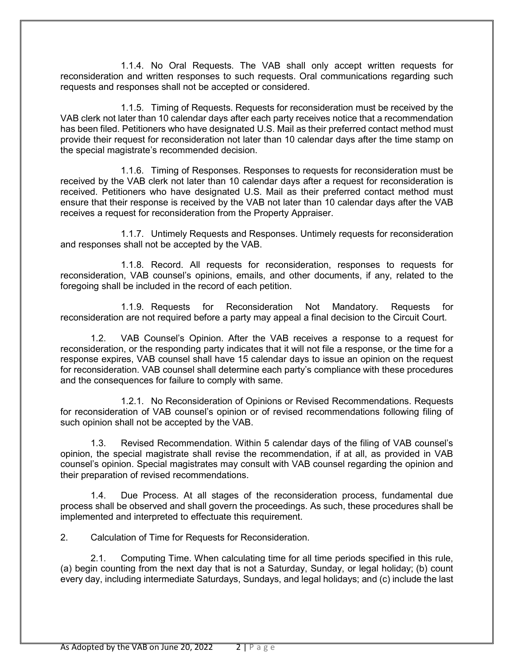1.1.4. No Oral Requests. The VAB shall only accept written requests for reconsideration and written responses to such requests. Oral communications regarding such requests and responses shall not be accepted or considered.

1.1.5. Timing of Requests. Requests for reconsideration must be received by the VAB clerk not later than 10 calendar days after each party receives notice that a recommendation has been filed. Petitioners who have designated U.S. Mail as their preferred contact method must provide their request for reconsideration not later than 10 calendar days after the time stamp on the special magistrate's recommended decision.

1.1.6. Timing of Responses. Responses to requests for reconsideration must be received by the VAB clerk not later than 10 calendar days after a request for reconsideration is received. Petitioners who have designated U.S. Mail as their preferred contact method must ensure that their response is received by the VAB not later than 10 calendar days after the VAB receives a request for reconsideration from the Property Appraiser.

1.1.7. Untimely Requests and Responses. Untimely requests for reconsideration and responses shall not be accepted by the VAB.

1.1.8. Record. All requests for reconsideration, responses to requests for reconsideration, VAB counsel's opinions, emails, and other documents, if any, related to the foregoing shall be included in the record of each petition.

1.1.9. Requests for Reconsideration Not Mandatory. Requests for reconsideration are not required before a party may appeal a final decision to the Circuit Court.

1.2. VAB Counsel's Opinion. After the VAB receives a response to a request for reconsideration, or the responding party indicates that it will not file a response, or the time for a response expires, VAB counsel shall have 15 calendar days to issue an opinion on the request for reconsideration. VAB counsel shall determine each party's compliance with these procedures and the consequences for failure to comply with same.

1.2.1. No Reconsideration of Opinions or Revised Recommendations. Requests for reconsideration of VAB counsel's opinion or of revised recommendations following filing of such opinion shall not be accepted by the VAB.

1.3. Revised Recommendation. Within 5 calendar days of the filing of VAB counsel's opinion, the special magistrate shall revise the recommendation, if at all, as provided in VAB counsel's opinion. Special magistrates may consult with VAB counsel regarding the opinion and their preparation of revised recommendations.

1.4. Due Process. At all stages of the reconsideration process, fundamental due process shall be observed and shall govern the proceedings. As such, these procedures shall be implemented and interpreted to effectuate this requirement.

2. Calculation of Time for Requests for Reconsideration.

2.1. Computing Time. When calculating time for all time periods specified in this rule, (a) begin counting from the next day that is not a Saturday, Sunday, or legal holiday; (b) count every day, including intermediate Saturdays, Sundays, and legal holidays; and (c) include the last